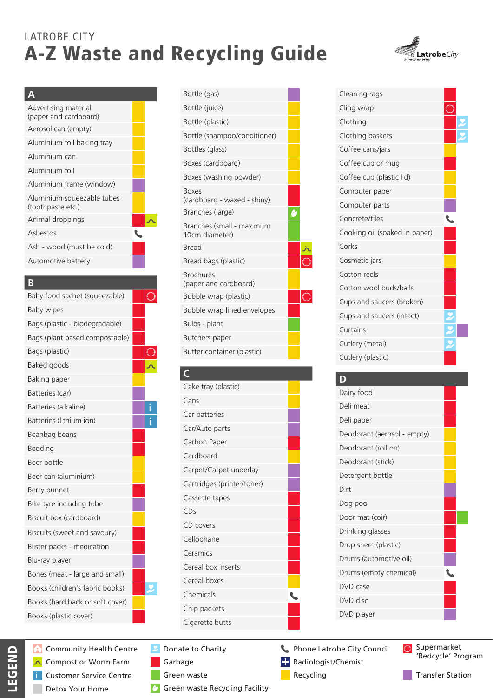# LATROBE CITY A-Z Waste and Recycling Guide



| Advertising material<br>(paper and cardboard)   |  |
|-------------------------------------------------|--|
| Aerosol can (empty)                             |  |
| Aluminium foil baking tray                      |  |
| Aluminium can                                   |  |
| Aluminium foil                                  |  |
| Aluminium frame (window)                        |  |
| Aluminium squeezable tubes<br>(toothpaste etc.) |  |
| Animal droppings                                |  |
| Asbestos                                        |  |
| Ash - wood (must be cold)                       |  |
| Automotive battery                              |  |

### **B**

| Baby food sachet (squeezable)   |   |
|---------------------------------|---|
| <b>Baby wipes</b>               |   |
| Bags (plastic - biodegradable)  |   |
| Bags (plant based compostable)  |   |
| Bags (plastic)                  |   |
| Baked goods                     |   |
| Baking paper                    |   |
| Batteries (car)                 |   |
| Batteries (alkaline)            | i |
| Batteries (lithium ion)         |   |
| Beanbag beans                   |   |
| Bedding                         |   |
| Beer bottle                     |   |
| Beer can (aluminium)            |   |
| Berry punnet                    |   |
| Bike tyre including tube        |   |
| Biscuit box (cardboard)         |   |
| Biscuits (sweet and savoury)    |   |
| Blister packs - medication      |   |
| Blu-ray player                  |   |
| Bones (meat - large and small)  |   |
| Books (children's fabric books) |   |
| Books (hard back or soft cover) |   |
| Books (plastic cover)           |   |

Community Health Centre A Compost or Worm Farm  $\ddot{\bm{\Lambda}}$ Customer Service Centre i Detox Your Home

| Bottle (gas)                                |  |
|---------------------------------------------|--|
| Bottle (juice)                              |  |
| Bottle (plastic)                            |  |
| Bottle (shampoo/conditioner)                |  |
| Bottles (glass)                             |  |
| Boxes (cardboard)                           |  |
| Boxes (washing powder)                      |  |
| <b>Boxes</b><br>(cardboard - waxed - shiny) |  |
| Branches (large)                            |  |
| Branches (small - maximum<br>10cm diameter) |  |
| <b>Bread</b>                                |  |
| Bread bags (plastic)                        |  |
| <b>Brochures</b><br>(paper and cardboard)   |  |
| Bubble wrap (plastic)                       |  |
| Bubble wrap lined envelopes                 |  |
| Bulbs - plant                               |  |
| Butchers paper                              |  |
| Butter container (plastic)                  |  |

## **C**

| Cake tray (plastic)        |  |
|----------------------------|--|
| Cans                       |  |
| Car batteries              |  |
| Car/Auto parts             |  |
| Carbon Paper               |  |
| Cardboard                  |  |
| Carpet/Carpet underlay     |  |
| Cartridges (printer/toner) |  |
| Cassette tapes             |  |
| CDs                        |  |
| CD covers                  |  |
| Cellophane                 |  |
| Ceramics                   |  |
| Cereal box inserts         |  |
| Cereal boxes               |  |
| Chemicals                  |  |
| Chip packets               |  |
| Cigarette butts            |  |
|                            |  |

## Donate to Charity

- Garbage
- Green waste
	- Green waste Recycling Facility



| Cleaning rags                 |  |
|-------------------------------|--|
| Cling wrap                    |  |
| Clothing                      |  |
| Clothing baskets              |  |
| Coffee cans/jars              |  |
| Coffee cup or mug             |  |
| Coffee cup (plastic lid)      |  |
| Computer paper                |  |
| Computer parts                |  |
| Concrete/tiles                |  |
| Cooking oil (soaked in paper) |  |
| Corks                         |  |
| Cosmetic jars                 |  |
| Cotton reels                  |  |
| Cotton wool buds/balls        |  |
| Cups and saucers (broken)     |  |
| Cups and saucers (intact)     |  |
| Curtains                      |  |
| Cutlery (metal)               |  |
| Cutlery (plastic)             |  |
|                               |  |

## **D**

| Dairy food                  |  |
|-----------------------------|--|
| Deli meat                   |  |
| Deli paper                  |  |
| Deodorant (aerosol - empty) |  |
| Deodorant (roll on)         |  |
| Deodorant (stick)           |  |
| Detergent bottle            |  |
| Dirt                        |  |
| Dog poo                     |  |
| Door mat (coir)             |  |
| Drinking glasses            |  |
| Drop sheet (plastic)        |  |
| Drums (automotive oil)      |  |
| Drums (empty chemical)      |  |
| DVD case                    |  |
| DVD disc                    |  |
| DVD player                  |  |
|                             |  |

Phone Latrobe City Council

Recycling

O Supermarket 'Redcycle' Program Radiologist/Chemist

Transfer Station

LEGEND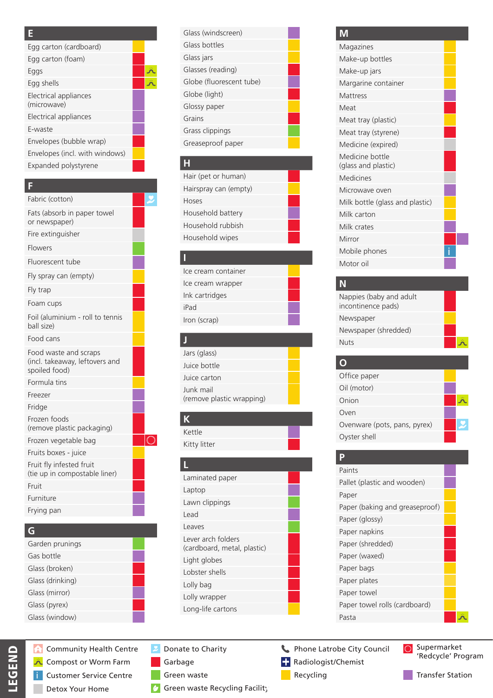#### **E**

| Egg carton (cardboard)               |  |
|--------------------------------------|--|
| Egg carton (foam)                    |  |
| Eggs                                 |  |
| Egg shells                           |  |
| Electrical appliances<br>(microwave) |  |
| Electrical appliances                |  |
| F-waste                              |  |
| Envelopes (bubble wrap)              |  |
| Envelopes (incl. with windows)       |  |
| Expanded polystyrene                 |  |

### **F**

| Fabric (cotton)                                                          |  |
|--------------------------------------------------------------------------|--|
| Fats (absorb in paper towel<br>or newspaper)                             |  |
| Fire extinguisher                                                        |  |
| Flowers                                                                  |  |
| Fluorescent tube                                                         |  |
| Fly spray can (empty)                                                    |  |
| Fly trap                                                                 |  |
| Foam cups                                                                |  |
| Foil (aluminium - roll to tennis<br>ball size)                           |  |
| Food cans                                                                |  |
| Food waste and scraps<br>(incl. takeaway, leftovers and<br>spoiled food) |  |
| Formula tins                                                             |  |
| Freezer                                                                  |  |
| Fridge                                                                   |  |
| Frozen foods<br>(remove plastic packaging)                               |  |
| Frozen vegetable bag                                                     |  |
| Fruits boxes - juice                                                     |  |
| Fruit fly infested fruit<br>(tie up in compostable liner)                |  |
| Fruit                                                                    |  |
| Furniture                                                                |  |
| Frying pan                                                               |  |

### **G**

LEGEND

| Garden prunings  |
|------------------|
| Gas bottle       |
| Glass (broken)   |
| Glass (drinking) |
| Glass (mirror)   |
| Glass (pyrex)    |
| Glass (window)   |

Community Health Centre A Compost or Worm Farm ة Customer Service Centre i Detox Your Home

| Glass (windscreen)       |  |
|--------------------------|--|
| Glass bottles            |  |
| Glass jars               |  |
| Glasses (reading)        |  |
| Globe (fluorescent tube) |  |
| Globe (light)            |  |
| Glossy paper             |  |
| Grains                   |  |
| Grass clippings          |  |
| Greaseproof paper        |  |
|                          |  |

### **H**

| Hair (pet or human)   |
|-----------------------|
| Hairspray can (empty) |
| Hoses                 |
| Household battery     |
| Household rubbish     |
| Household wipes       |
|                       |

## Ice cream container Ice cream wrapper Ink cartridges iPad Iron (scrap)

### **J**

**I**

| Jars (glass)                           |  |
|----------------------------------------|--|
| Juice bottle                           |  |
| Juice carton                           |  |
| Junk mail<br>(remove plastic wrapping) |  |
|                                        |  |

### **K** Kettle

Kitty litter

# **L**

| Laminated paper                                   |  |
|---------------------------------------------------|--|
| Laptop                                            |  |
| Lawn clippings                                    |  |
| Lead                                              |  |
| Leaves                                            |  |
| Lever arch folders<br>(cardboard, metal, plastic) |  |
| Light globes                                      |  |
| Lobster shells                                    |  |
| Lolly bag                                         |  |
| Lolly wrapper                                     |  |
| Long-life cartons                                 |  |
|                                                   |  |

# Donate to Charity

- Garbage
- Green waste
	- Green waste Recycling Facility

### **M**

| I VII                                  |  |
|----------------------------------------|--|
| Magazines                              |  |
| Make-up bottles                        |  |
| Make-up jars                           |  |
| Margarine container                    |  |
| <b>Mattress</b>                        |  |
| Meat                                   |  |
| Meat tray (plastic)                    |  |
| Meat tray (styrene)                    |  |
| Medicine (expired)                     |  |
| Medicine bottle<br>(glass and plastic) |  |
| <b>Medicines</b>                       |  |
| Microwave oven                         |  |
| Milk bottle (glass and plastic)        |  |
| Milk carton                            |  |
| Milk crates                            |  |
| Mirror                                 |  |
| Mobile phones                          |  |
| Motor oil                              |  |
|                                        |  |

## **N**

| Nappies (baby and adult<br>incontinence pads) |  |
|-----------------------------------------------|--|
| Newspaper                                     |  |
| Newspaper (shredded)                          |  |
| <b>Nuts</b>                                   |  |

#### **O** Office paper Oil (motor) Onion Ä Oven Ovenware (pots, pans, pyrex) Y Oyster shell

## **P**

| Paints                         |  |
|--------------------------------|--|
| Pallet (plastic and wooden)    |  |
| Paper                          |  |
| Paper (baking and greaseproof) |  |
| Paper (glossy)                 |  |
| Paper napkins                  |  |
| Paper (shredded)               |  |
| Paper (waxed)                  |  |
| Paper bags                     |  |
| Paper plates                   |  |
| Paper towel                    |  |
| Paper towel rolls (cardboard)  |  |
| Pasta                          |  |

Phone Latrobe City Council

Recycling

O Supermarket 'Redcycle' Program Radiologist/Chemist

Transfer Station